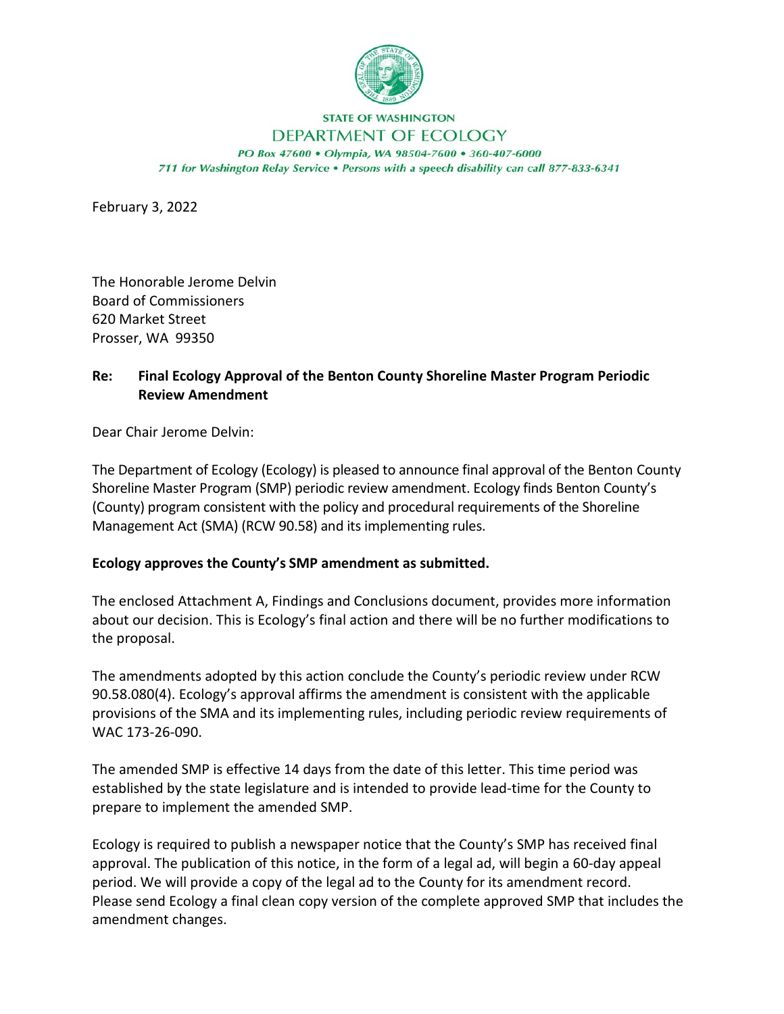

## **STATE OF WASHINGTON**

## DEPARTMENT OF ECOLOGY

PO Box 47600 . Olympia, WA 98504-7600 . 360-407-6000 711 for Washington Relay Service . Persons with a speech disability can call 877-833-6341

February 3, 2022

The Honorable Jerome Delvin Board of Commissioners 620 Market Street Prosser, WA 99350

## **Re: Final Ecology Approval of the Benton County Shoreline Master Program Periodic Review Amendment**

Dear Chair Jerome Delvin:

The Department of Ecology (Ecology) is pleased to announce final approval of the Benton County Shoreline Master Program (SMP) periodic review amendment. Ecology finds Benton County's (County) program consistent with the policy and procedural requirements of the Shoreline Management Act (SMA) (RCW 90.58) and its implementing rules.

## **Ecology approves the County's SMP amendment as submitted.**

The enclosed Attachment A, Findings and Conclusions document, provides more information about our decision. This is Ecology's final action and there will be no further modifications to the proposal.

The amendments adopted by this action conclude the County's periodic review under RCW 90.58.080(4). Ecology's approval affirms the amendment is consistent with the applicable provisions of the SMA and its implementing rules, including periodic review requirements of WAC 173-26-090.

The amended SMP is effective 14 days from the date of this letter. This time period was established by the state legislature and is intended to provide lead-time for the County to prepare to implement the amended SMP.

Ecology is required to publish a newspaper notice that the County's SMP has received final approval. The publication of this notice, in the form of a legal ad, will begin a 60-day appeal period. We will provide a copy of the legal ad to the County for its amendment record. Please send Ecology a final clean copy version of the complete approved SMP that includes the amendment changes.